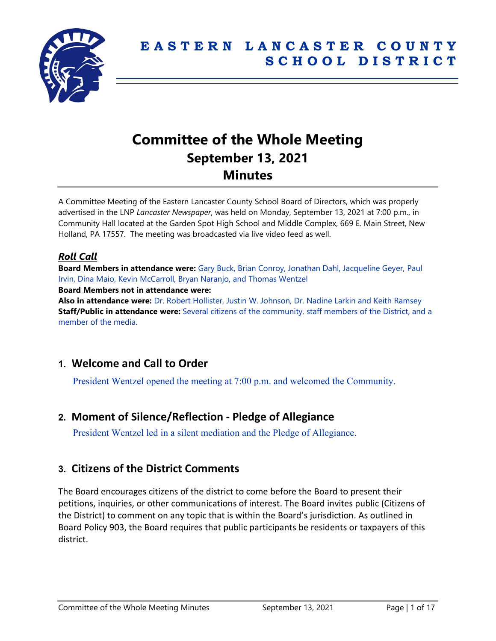

# **Committee of the Whole Meeting September 13, 2021 Minutes**

A Committee Meeting of the Eastern Lancaster County School Board of Directors, which was properly advertised in the LNP *Lancaster Newspaper*, was held on Monday, September 13, 2021 at 7:00 p.m., in Community Hall located at the Garden Spot High School and Middle Complex, 669 E. Main Street, New Holland, PA 17557. The meeting was broadcasted via live video feed as well.

## *Roll Call*

**Board Members in attendance were:** Gary Buck, Brian Conroy, Jonathan Dahl, Jacqueline Geyer, Paul Irvin, Dina Maio, Kevin McCarroll, Bryan Naranjo, and Thomas Wentzel **Board Members not in attendance were:** 

**Also in attendance were:** Dr. Robert Hollister, Justin W. Johnson, Dr. Nadine Larkin and Keith Ramsey **Staff/Public in attendance were:** Several citizens of the community, staff members of the District, and a member of the media.

# **1. Welcome and Call to Order**

President Wentzel opened the meeting at 7:00 p.m. and welcomed the Community.

# **2. Moment of Silence/Reflection - Pledge of Allegiance**

President Wentzel led in a silent mediation and the Pledge of Allegiance.

# **3. Citizens of the District Comments**

The Board encourages citizens of the district to come before the Board to present their petitions, inquiries, or other communications of interest. The Board invites public (Citizens of the District) to comment on any topic that is within the Board's jurisdiction. As outlined in Board Policy 903, the Board requires that public participants be residents or taxpayers of this district.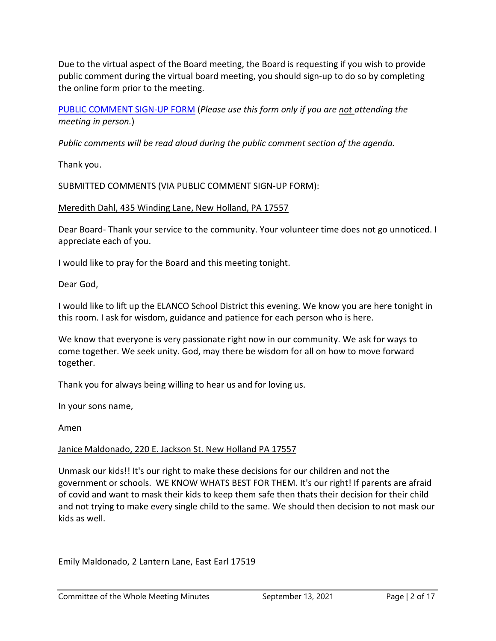Due to the virtual aspect of the Board meeting, the Board is requesting if you wish to provide public comment during the virtual board meeting, you should sign-up to do so by completing the online form prior to the meeting.

## [PUBLIC COMMENT SIGN-UP FORM](https://forms.gle/zDXXoX8rZQUxt1Ap6) (*Please use this form only if you are not attending the meeting in person.*)

*Public comments will be read aloud during the public comment section of the agenda.*

Thank you.

SUBMITTED COMMENTS (VIA PUBLIC COMMENT SIGN-UP FORM):

#### Meredith Dahl, 435 Winding Lane, New Holland, PA 17557

Dear Board- Thank your service to the community. Your volunteer time does not go unnoticed. I appreciate each of you.

I would like to pray for the Board and this meeting tonight.

Dear God,

I would like to lift up the ELANCO School District this evening. We know you are here tonight in this room. I ask for wisdom, guidance and patience for each person who is here.

We know that everyone is very passionate right now in our community. We ask for ways to come together. We seek unity. God, may there be wisdom for all on how to move forward together.

Thank you for always being willing to hear us and for loving us.

In your sons name,

Amen

#### Janice Maldonado, 220 E. Jackson St. New Holland PA 17557

Unmask our kids!! It's our right to make these decisions for our children and not the government or schools. WE KNOW WHATS BEST FOR THEM. It's our right! If parents are afraid of covid and want to mask their kids to keep them safe then thats their decision for their child and not trying to make every single child to the same. We should then decision to not mask our kids as well.

## Emily Maldonado, 2 Lantern Lane, East Earl 17519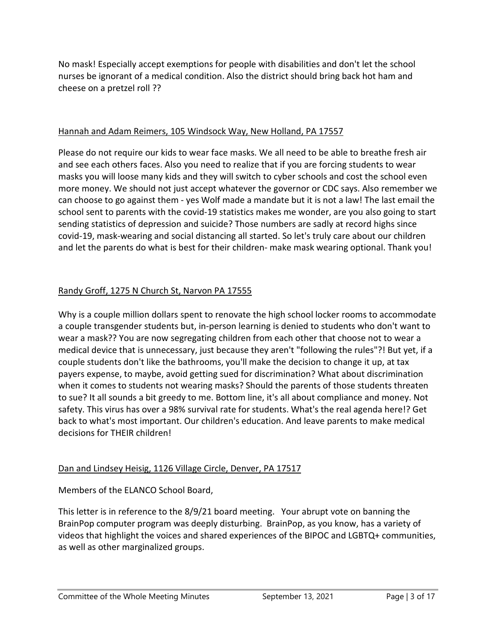No mask! Especially accept exemptions for people with disabilities and don't let the school nurses be ignorant of a medical condition. Also the district should bring back hot ham and cheese on a pretzel roll ??

#### Hannah and Adam Reimers, 105 Windsock Way, New Holland, PA 17557

Please do not require our kids to wear face masks. We all need to be able to breathe fresh air and see each others faces. Also you need to realize that if you are forcing students to wear masks you will loose many kids and they will switch to cyber schools and cost the school even more money. We should not just accept whatever the governor or CDC says. Also remember we can choose to go against them - yes Wolf made a mandate but it is not a law! The last email the school sent to parents with the covid-19 statistics makes me wonder, are you also going to start sending statistics of depression and suicide? Those numbers are sadly at record highs since covid-19, mask-wearing and social distancing all started. So let's truly care about our children and let the parents do what is best for their children- make mask wearing optional. Thank you!

## Randy Groff, 1275 N Church St, Narvon PA 17555

Why is a couple million dollars spent to renovate the high school locker rooms to accommodate a couple transgender students but, in-person learning is denied to students who don't want to wear a mask?? You are now segregating children from each other that choose not to wear a medical device that is unnecessary, just because they aren't "following the rules"?! But yet, if a couple students don't like the bathrooms, you'll make the decision to change it up, at tax payers expense, to maybe, avoid getting sued for discrimination? What about discrimination when it comes to students not wearing masks? Should the parents of those students threaten to sue? It all sounds a bit greedy to me. Bottom line, it's all about compliance and money. Not safety. This virus has over a 98% survival rate for students. What's the real agenda here!? Get back to what's most important. Our children's education. And leave parents to make medical decisions for THEIR children!

#### Dan and Lindsey Heisig, 1126 Village Circle, Denver, PA 17517

Members of the ELANCO School Board,

This letter is in reference to the 8/9/21 board meeting. Your abrupt vote on banning the BrainPop computer program was deeply disturbing. BrainPop, as you know, has a variety of videos that highlight the voices and shared experiences of the BIPOC and LGBTQ+ communities, as well as other marginalized groups.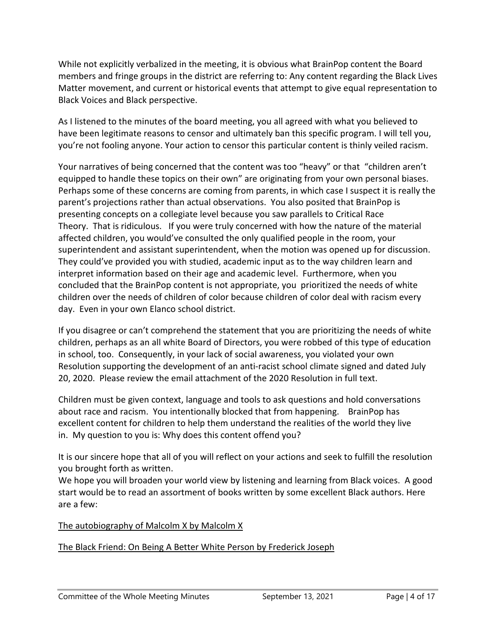While not explicitly verbalized in the meeting, it is obvious what BrainPop content the Board members and fringe groups in the district are referring to: Any content regarding the Black Lives Matter movement, and current or historical events that attempt to give equal representation to Black Voices and Black perspective.

As I listened to the minutes of the board meeting, you all agreed with what you believed to have been legitimate reasons to censor and ultimately ban this specific program. I will tell you, you're not fooling anyone. Your action to censor this particular content is thinly veiled racism.

Your narratives of being concerned that the content was too "heavy" or that "children aren't equipped to handle these topics on their own" are originating from your own personal biases. Perhaps some of these concerns are coming from parents, in which case I suspect it is really the parent's projections rather than actual observations. You also posited that BrainPop is presenting concepts on a collegiate level because you saw parallels to Critical Race Theory. That is ridiculous. If you were truly concerned with how the nature of the material affected children, you would've consulted the only qualified people in the room, your superintendent and assistant superintendent, when the motion was opened up for discussion. They could've provided you with studied, academic input as to the way children learn and interpret information based on their age and academic level. Furthermore, when you concluded that the BrainPop content is not appropriate, you prioritized the needs of white children over the needs of children of color because children of color deal with racism every day. Even in your own Elanco school district.

If you disagree or can't comprehend the statement that you are prioritizing the needs of white children, perhaps as an all white Board of Directors, you were robbed of this type of education in school, too. Consequently, in your lack of social awareness, you violated your own Resolution supporting the development of an anti-racist school climate signed and dated July 20, 2020. Please review the email attachment of the 2020 Resolution in full text.

Children must be given context, language and tools to ask questions and hold conversations about race and racism. You intentionally blocked that from happening. BrainPop has excellent content for children to help them understand the realities of the world they live in. My question to you is: Why does this content offend you?

It is our sincere hope that all of you will reflect on your actions and seek to fulfill the resolution you brought forth as written.

We hope you will broaden your world view by listening and learning from Black voices. A good start would be to read an assortment of books written by some excellent Black authors. Here are a few:

## The autobiography of Malcolm X by Malcolm X

#### The Black Friend: On Being A Better White Person by Frederick Joseph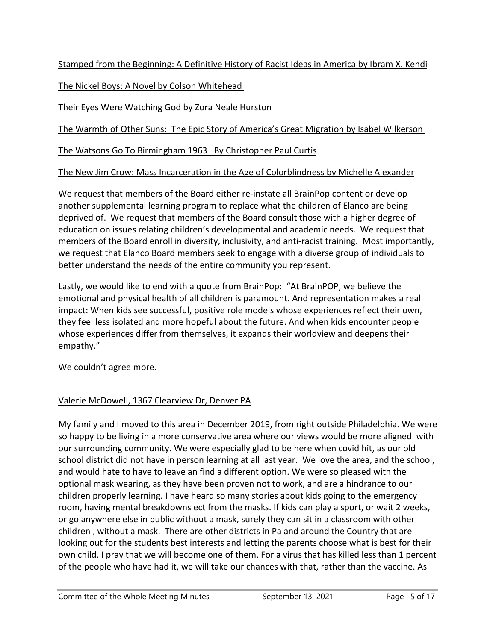Stamped from the Beginning: A Definitive History of Racist Ideas in America by Ibram X. Kendi

The Nickel Boys: A Novel by Colson Whitehead

Their Eyes Were Watching God by Zora Neale Hurston

The Warmth of Other Suns: The Epic Story of America's Great Migration by Isabel Wilkerson

The Watsons Go To Birmingham 1963 By Christopher Paul Curtis

## The New Jim Crow: Mass Incarceration in the Age of Colorblindness by Michelle Alexander

We request that members of the Board either re-instate all BrainPop content or develop another supplemental learning program to replace what the children of Elanco are being deprived of. We request that members of the Board consult those with a higher degree of education on issues relating children's developmental and academic needs. We request that members of the Board enroll in diversity, inclusivity, and anti-racist training. Most importantly, we request that Elanco Board members seek to engage with a diverse group of individuals to better understand the needs of the entire community you represent.

Lastly, we would like to end with a quote from BrainPop: "At BrainPOP, we believe the emotional and physical health of all children is paramount. And representation makes a real impact: When kids see successful, positive role models whose experiences reflect their own, they feel less isolated and more hopeful about the future. And when kids encounter people whose experiences differ from themselves, it expands their worldview and deepens their empathy."

We couldn't agree more.

# Valerie McDowell, 1367 Clearview Dr, Denver PA

My family and I moved to this area in December 2019, from right outside Philadelphia. We were so happy to be living in a more conservative area where our views would be more aligned with our surrounding community. We were especially glad to be here when covid hit, as our old school district did not have in person learning at all last year. We love the area, and the school, and would hate to have to leave an find a different option. We were so pleased with the optional mask wearing, as they have been proven not to work, and are a hindrance to our children properly learning. I have heard so many stories about kids going to the emergency room, having mental breakdowns ect from the masks. If kids can play a sport, or wait 2 weeks, or go anywhere else in public without a mask, surely they can sit in a classroom with other children , without a mask. There are other districts in Pa and around the Country that are looking out for the students best interests and letting the parents choose what is best for their own child. I pray that we will become one of them. For a virus that has killed less than 1 percent of the people who have had it, we will take our chances with that, rather than the vaccine. As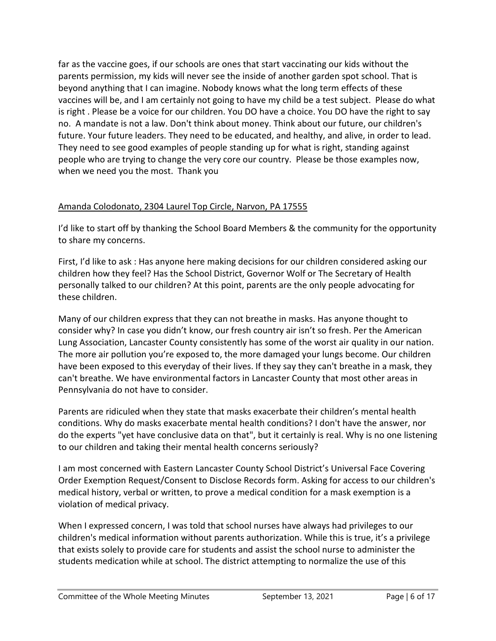far as the vaccine goes, if our schools are ones that start vaccinating our kids without the parents permission, my kids will never see the inside of another garden spot school. That is beyond anything that I can imagine. Nobody knows what the long term effects of these vaccines will be, and I am certainly not going to have my child be a test subject. Please do what is right . Please be a voice for our children. You DO have a choice. You DO have the right to say no. A mandate is not a law. Don't think about money. Think about our future, our children's future. Your future leaders. They need to be educated, and healthy, and alive, in order to lead. They need to see good examples of people standing up for what is right, standing against people who are trying to change the very core our country. Please be those examples now, when we need you the most. Thank you

## Amanda Colodonato, 2304 Laurel Top Circle, Narvon, PA 17555

I'd like to start off by thanking the School Board Members & the community for the opportunity to share my concerns.

First, I'd like to ask : Has anyone here making decisions for our children considered asking our children how they feel? Has the School District, Governor Wolf or The Secretary of Health personally talked to our children? At this point, parents are the only people advocating for these children.

Many of our children express that they can not breathe in masks. Has anyone thought to consider why? In case you didn't know, our fresh country air isn't so fresh. Per the American Lung Association, Lancaster County consistently has some of the worst air quality in our nation. The more air pollution you're exposed to, the more damaged your lungs become. Our children have been exposed to this everyday of their lives. If they say they can't breathe in a mask, they can't breathe. We have environmental factors in Lancaster County that most other areas in Pennsylvania do not have to consider.

Parents are ridiculed when they state that masks exacerbate their children's mental health conditions. Why do masks exacerbate mental health conditions? I don't have the answer, nor do the experts "yet have conclusive data on that", but it certainly is real. Why is no one listening to our children and taking their mental health concerns seriously?

I am most concerned with Eastern Lancaster County School District's Universal Face Covering Order Exemption Request/Consent to Disclose Records form. Asking for access to our children's medical history, verbal or written, to prove a medical condition for a mask exemption is a violation of medical privacy.

When I expressed concern, I was told that school nurses have always had privileges to our children's medical information without parents authorization. While this is true, it's a privilege that exists solely to provide care for students and assist the school nurse to administer the students medication while at school. The district attempting to normalize the use of this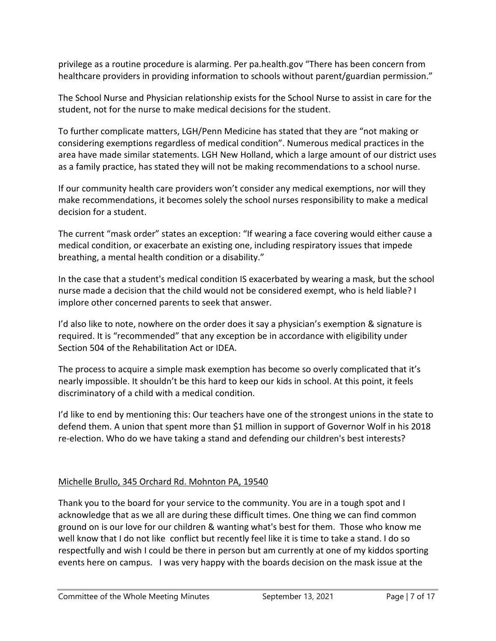privilege as a routine procedure is alarming. Per pa.health.gov "There has been concern from healthcare providers in providing information to schools without parent/guardian permission."

The School Nurse and Physician relationship exists for the School Nurse to assist in care for the student, not for the nurse to make medical decisions for the student.

To further complicate matters, LGH/Penn Medicine has stated that they are "not making or considering exemptions regardless of medical condition". Numerous medical practices in the area have made similar statements. LGH New Holland, which a large amount of our district uses as a family practice, has stated they will not be making recommendations to a school nurse.

If our community health care providers won't consider any medical exemptions, nor will they make recommendations, it becomes solely the school nurses responsibility to make a medical decision for a student.

The current "mask order" states an exception: "If wearing a face covering would either cause a medical condition, or exacerbate an existing one, including respiratory issues that impede breathing, a mental health condition or a disability."

In the case that a student's medical condition IS exacerbated by wearing a mask, but the school nurse made a decision that the child would not be considered exempt, who is held liable? I implore other concerned parents to seek that answer.

I'd also like to note, nowhere on the order does it say a physician's exemption & signature is required. It is "recommended" that any exception be in accordance with eligibility under Section 504 of the Rehabilitation Act or IDEA.

The process to acquire a simple mask exemption has become so overly complicated that it's nearly impossible. It shouldn't be this hard to keep our kids in school. At this point, it feels discriminatory of a child with a medical condition.

I'd like to end by mentioning this: Our teachers have one of the strongest unions in the state to defend them. A union that spent more than \$1 million in support of Governor Wolf in his 2018 re-election. Who do we have taking a stand and defending our children's best interests?

## Michelle Brullo, 345 Orchard Rd. Mohnton PA, 19540

Thank you to the board for your service to the community. You are in a tough spot and I acknowledge that as we all are during these difficult times. One thing we can find common ground on is our love for our children & wanting what's best for them. Those who know me well know that I do not like conflict but recently feel like it is time to take a stand. I do so respectfully and wish I could be there in person but am currently at one of my kiddos sporting events here on campus. I was very happy with the boards decision on the mask issue at the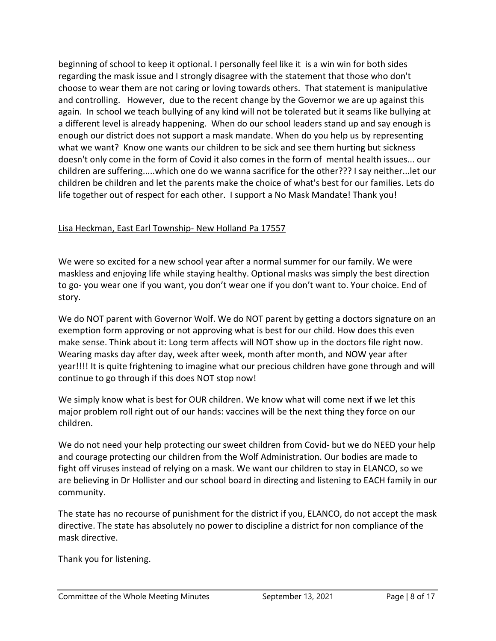beginning of school to keep it optional. I personally feel like it is a win win for both sides regarding the mask issue and I strongly disagree with the statement that those who don't choose to wear them are not caring or loving towards others. That statement is manipulative and controlling. However, due to the recent change by the Governor we are up against this again. In school we teach bullying of any kind will not be tolerated but it seams like bullying at a different level is already happening. When do our school leaders stand up and say enough is enough our district does not support a mask mandate. When do you help us by representing what we want? Know one wants our children to be sick and see them hurting but sickness doesn't only come in the form of Covid it also comes in the form of mental health issues... our children are suffering.....which one do we wanna sacrifice for the other??? I say neither...let our children be children and let the parents make the choice of what's best for our families. Lets do life together out of respect for each other. I support a No Mask Mandate! Thank you!

#### Lisa Heckman, East Earl Township- New Holland Pa 17557

We were so excited for a new school year after a normal summer for our family. We were maskless and enjoying life while staying healthy. Optional masks was simply the best direction to go- you wear one if you want, you don't wear one if you don't want to. Your choice. End of story.

We do NOT parent with Governor Wolf. We do NOT parent by getting a doctors signature on an exemption form approving or not approving what is best for our child. How does this even make sense. Think about it: Long term affects will NOT show up in the doctors file right now. Wearing masks day after day, week after week, month after month, and NOW year after year!!!! It is quite frightening to imagine what our precious children have gone through and will continue to go through if this does NOT stop now!

We simply know what is best for OUR children. We know what will come next if we let this major problem roll right out of our hands: vaccines will be the next thing they force on our children.

We do not need your help protecting our sweet children from Covid- but we do NEED your help and courage protecting our children from the Wolf Administration. Our bodies are made to fight off viruses instead of relying on a mask. We want our children to stay in ELANCO, so we are believing in Dr Hollister and our school board in directing and listening to EACH family in our community.

The state has no recourse of punishment for the district if you, ELANCO, do not accept the mask directive. The state has absolutely no power to discipline a district for non compliance of the mask directive.

Thank you for listening.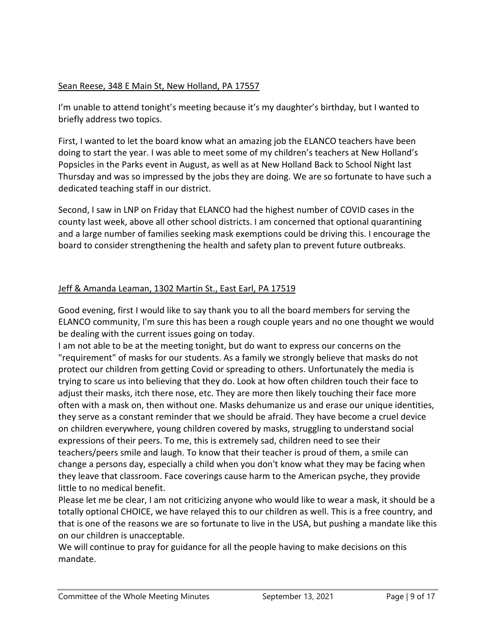## Sean Reese, 348 E Main St, New Holland, PA 17557

I'm unable to attend tonight's meeting because it's my daughter's birthday, but I wanted to briefly address two topics.

First, I wanted to let the board know what an amazing job the ELANCO teachers have been doing to start the year. I was able to meet some of my children's teachers at New Holland's Popsicles in the Parks event in August, as well as at New Holland Back to School Night last Thursday and was so impressed by the jobs they are doing. We are so fortunate to have such a dedicated teaching staff in our district.

Second, I saw in LNP on Friday that ELANCO had the highest number of COVID cases in the county last week, above all other school districts. I am concerned that optional quarantining and a large number of families seeking mask exemptions could be driving this. I encourage the board to consider strengthening the health and safety plan to prevent future outbreaks.

#### Jeff & Amanda Leaman, 1302 Martin St., East Earl, PA 17519

Good evening, first I would like to say thank you to all the board members for serving the ELANCO community, I'm sure this has been a rough couple years and no one thought we would be dealing with the current issues going on today.

I am not able to be at the meeting tonight, but do want to express our concerns on the "requirement" of masks for our students. As a family we strongly believe that masks do not protect our children from getting Covid or spreading to others. Unfortunately the media is trying to scare us into believing that they do. Look at how often children touch their face to adjust their masks, itch there nose, etc. They are more then likely touching their face more often with a mask on, then without one. Masks dehumanize us and erase our unique identities, they serve as a constant reminder that we should be afraid. They have become a cruel device on children everywhere, young children covered by masks, struggling to understand social expressions of their peers. To me, this is extremely sad, children need to see their teachers/peers smile and laugh. To know that their teacher is proud of them, a smile can change a persons day, especially a child when you don't know what they may be facing when they leave that classroom. Face coverings cause harm to the American psyche, they provide little to no medical benefit.

Please let me be clear, I am not criticizing anyone who would like to wear a mask, it should be a totally optional CHOICE, we have relayed this to our children as well. This is a free country, and that is one of the reasons we are so fortunate to live in the USA, but pushing a mandate like this on our children is unacceptable.

We will continue to pray for guidance for all the people having to make decisions on this mandate.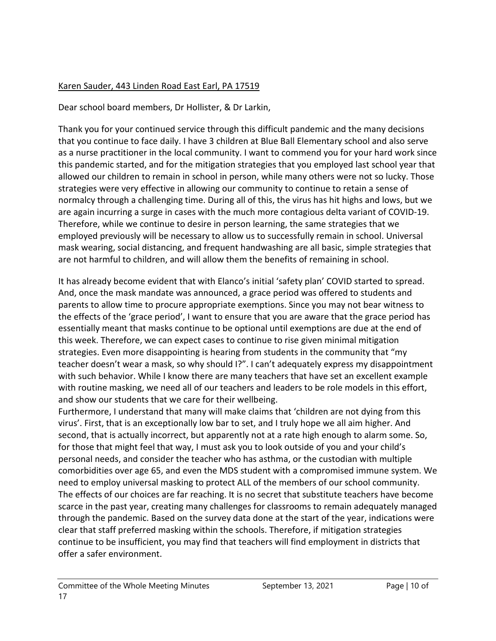## Karen Sauder, 443 Linden Road East Earl, PA 17519

Dear school board members, Dr Hollister, & Dr Larkin,

Thank you for your continued service through this difficult pandemic and the many decisions that you continue to face daily. I have 3 children at Blue Ball Elementary school and also serve as a nurse practitioner in the local community. I want to commend you for your hard work since this pandemic started, and for the mitigation strategies that you employed last school year that allowed our children to remain in school in person, while many others were not so lucky. Those strategies were very effective in allowing our community to continue to retain a sense of normalcy through a challenging time. During all of this, the virus has hit highs and lows, but we are again incurring a surge in cases with the much more contagious delta variant of COVID-19. Therefore, while we continue to desire in person learning, the same strategies that we employed previously will be necessary to allow us to successfully remain in school. Universal mask wearing, social distancing, and frequent handwashing are all basic, simple strategies that are not harmful to children, and will allow them the benefits of remaining in school.

It has already become evident that with Elanco's initial 'safety plan' COVID started to spread. And, once the mask mandate was announced, a grace period was offered to students and parents to allow time to procure appropriate exemptions. Since you may not bear witness to the effects of the 'grace period', I want to ensure that you are aware that the grace period has essentially meant that masks continue to be optional until exemptions are due at the end of this week. Therefore, we can expect cases to continue to rise given minimal mitigation strategies. Even more disappointing is hearing from students in the community that "my teacher doesn't wear a mask, so why should I?". I can't adequately express my disappointment with such behavior. While I know there are many teachers that have set an excellent example with routine masking, we need all of our teachers and leaders to be role models in this effort, and show our students that we care for their wellbeing.

Furthermore, I understand that many will make claims that 'children are not dying from this virus'. First, that is an exceptionally low bar to set, and I truly hope we all aim higher. And second, that is actually incorrect, but apparently not at a rate high enough to alarm some. So, for those that might feel that way, I must ask you to look outside of you and your child's personal needs, and consider the teacher who has asthma, or the custodian with multiple comorbidities over age 65, and even the MDS student with a compromised immune system. We need to employ universal masking to protect ALL of the members of our school community. The effects of our choices are far reaching. It is no secret that substitute teachers have become scarce in the past year, creating many challenges for classrooms to remain adequately managed through the pandemic. Based on the survey data done at the start of the year, indications were clear that staff preferred masking within the schools. Therefore, if mitigation strategies continue to be insufficient, you may find that teachers will find employment in districts that offer a safer environment.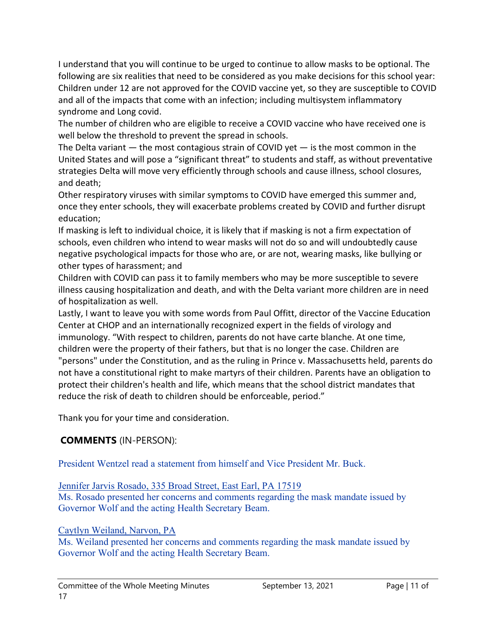I understand that you will continue to be urged to continue to allow masks to be optional. The following are six realities that need to be considered as you make decisions for this school year: Children under 12 are not approved for the COVID vaccine yet, so they are susceptible to COVID and all of the impacts that come with an infection; including multisystem inflammatory syndrome and Long covid.

The number of children who are eligible to receive a COVID vaccine who have received one is well below the threshold to prevent the spread in schools.

The Delta variant  $-$  the most contagious strain of COVID yet  $-$  is the most common in the United States and will pose a "significant threat" to students and staff, as without preventative strategies Delta will move very efficiently through schools and cause illness, school closures, and death;

Other respiratory viruses with similar symptoms to COVID have emerged this summer and, once they enter schools, they will exacerbate problems created by COVID and further disrupt education;

If masking is left to individual choice, it is likely that if masking is not a firm expectation of schools, even children who intend to wear masks will not do so and will undoubtedly cause negative psychological impacts for those who are, or are not, wearing masks, like bullying or other types of harassment; and

Children with COVID can pass it to family members who may be more susceptible to severe illness causing hospitalization and death, and with the Delta variant more children are in need of hospitalization as well.

Lastly, I want to leave you with some words from Paul Offitt, director of the Vaccine Education Center at CHOP and an internationally recognized expert in the fields of virology and immunology. "With respect to children, parents do not have carte blanche. At one time, children were the property of their fathers, but that is no longer the case. Children are "persons" under the Constitution, and as the ruling in Prince v. Massachusetts held, parents do not have a constitutional right to make martyrs of their children. Parents have an obligation to protect their children's health and life, which means that the school district mandates that reduce the risk of death to children should be enforceable, period."

Thank you for your time and consideration.

# **COMMENTS** (IN-PERSON):

President Wentzel read a statement from himself and Vice President Mr. Buck.

Jennifer Jarvis Rosado, 335 Broad Street, East Earl, PA 17519

Ms. Rosado presented her concerns and comments regarding the mask mandate issued by Governor Wolf and the acting Health Secretary Beam.

# Caytlyn Weiland, Narvon, PA

Ms. Weiland presented her concerns and comments regarding the mask mandate issued by Governor Wolf and the acting Health Secretary Beam.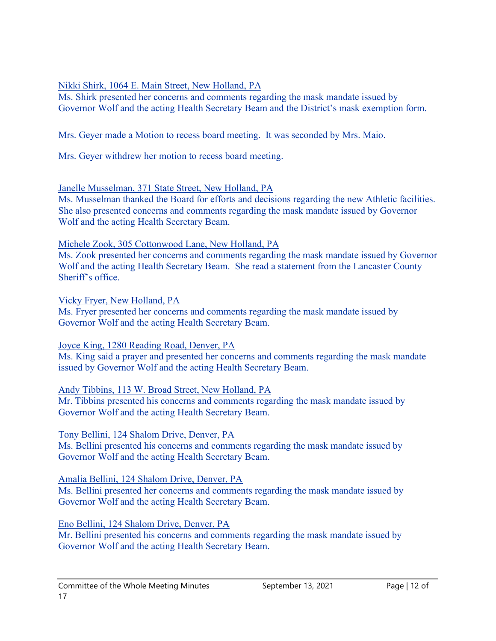## Nikki Shirk, 1064 E. Main Street, New Holland, PA

Ms. Shirk presented her concerns and comments regarding the mask mandate issued by Governor Wolf and the acting Health Secretary Beam and the District's mask exemption form.

Mrs. Geyer made a Motion to recess board meeting. It was seconded by Mrs. Maio.

Mrs. Geyer withdrew her motion to recess board meeting.

#### Janelle Musselman, 371 State Street, New Holland, PA

Ms. Musselman thanked the Board for efforts and decisions regarding the new Athletic facilities. She also presented concerns and comments regarding the mask mandate issued by Governor Wolf and the acting Health Secretary Beam.

#### Michele Zook, 305 Cottonwood Lane, New Holland, PA

Ms. Zook presented her concerns and comments regarding the mask mandate issued by Governor Wolf and the acting Health Secretary Beam. She read a statement from the Lancaster County Sheriff's office.

Vicky Fryer, New Holland, PA

Ms. Fryer presented her concerns and comments regarding the mask mandate issued by Governor Wolf and the acting Health Secretary Beam.

Joyce King, 1280 Reading Road, Denver, PA

Ms. King said a prayer and presented her concerns and comments regarding the mask mandate issued by Governor Wolf and the acting Health Secretary Beam.

## Andy Tibbins, 113 W. Broad Street, New Holland, PA

Mr. Tibbins presented his concerns and comments regarding the mask mandate issued by Governor Wolf and the acting Health Secretary Beam.

## Tony Bellini, 124 Shalom Drive, Denver, PA

Ms. Bellini presented his concerns and comments regarding the mask mandate issued by Governor Wolf and the acting Health Secretary Beam.

## Amalia Bellini, 124 Shalom Drive, Denver, PA

Ms. Bellini presented her concerns and comments regarding the mask mandate issued by Governor Wolf and the acting Health Secretary Beam.

## Eno Bellini, 124 Shalom Drive, Denver, PA

Mr. Bellini presented his concerns and comments regarding the mask mandate issued by Governor Wolf and the acting Health Secretary Beam.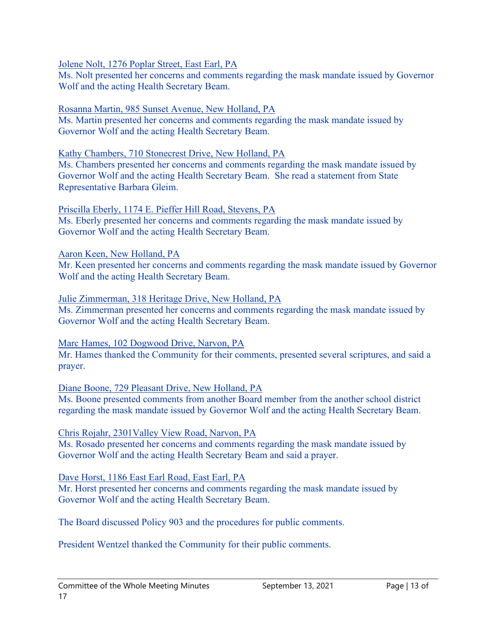Jolene Nolt, 1276 Poplar Street, East Earl, PA

Ms. Nolt presented her concerns and comments regarding the mask mandate issued by Governor Wolf and the acting Health Secretary Beam.

#### Rosanna Martin, 985 Sunset Avenue, New Holland, PA

Ms. Martin presented her concerns and comments regarding the mask mandate issued by Governor Wolf and the acting Health Secretary Beam.

#### Kathy Chambers, 710 Stonecrest Drive, New Holland, PA

Ms. Chambers presented her concerns and comments regarding the mask mandate issued by Governor Wolf and the acting Health Secretary Beam. She read a statement from State Representative Barbara Gleim.

# Priscilla Eberly, 1174 E. Pieffer Hill Road, Stevens, PA

Ms. Eberly presented her concerns and comments regarding the mask mandate issued by Governor Wolf and the acting Health Secretary Beam.

#### Aaron Keen, New Holland, PA

Mr. Keen presented her concerns and comments regarding the mask mandate issued by Governor Wolf and the acting Health Secretary Beam.

#### Julie Zimmerman, 318 Heritage Drive, New Holland, PA

Ms. Zimmerman presented her concerns and comments regarding the mask mandate issued by Governor Wolf and the acting Health Secretary Beam.

#### Marc Hames, 102 Dogwood Drive, Narvon, PA

Mr. Hames thanked the Community for their comments, presented several scriptures, and said a prayer.

#### Diane Boone, 729 Pleasant Drive, New Holland, PA

Ms. Boone presented comments from another Board member from the another school district regarding the mask mandate issued by Governor Wolf and the acting Health Secretary Beam.

## Chris Rojahr, 2301Valley View Road, Narvon, PA

Ms. Rosado presented her concerns and comments regarding the mask mandate issued by Governor Wolf and the acting Health Secretary Beam and said a prayer.

#### Dave Horst, 1186 East Earl Road, East Earl, PA

Mr. Horst presented her concerns and comments regarding the mask mandate issued by Governor Wolf and the acting Health Secretary Beam.

The Board discussed Policy 903 and the procedures for public comments.

President Wentzel thanked the Community for their public comments.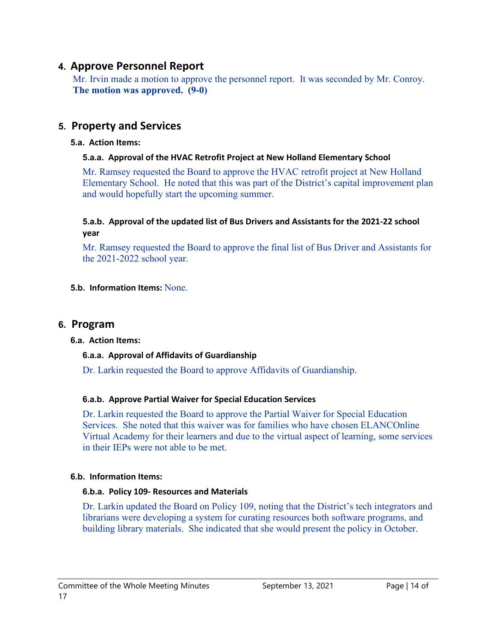# **4. Approve Personnel Report**

Mr. Irvin made a motion to approve the personnel report. It was seconded by Mr. Conroy. **The motion was approved. (9-0)**

# **5. Property and Services**

#### **5.a. Action Items:**

## **5.a.a. Approval of the HVAC Retrofit Project at New Holland Elementary School**

Mr. Ramsey requested the Board to approve the HVAC retrofit project at New Holland Elementary School. He noted that this was part of the District's capital improvement plan and would hopefully start the upcoming summer.

#### **5.a.b. Approval of the updated list of Bus Drivers and Assistants for the 2021-22 school year**

Mr. Ramsey requested the Board to approve the final list of Bus Driver and Assistants for the 2021-2022 school year.

#### **5.b. Information Items:** None.

## **6. Program**

#### **6.a. Action Items:**

## **6.a.a. Approval of Affidavits of Guardianship**

Dr. Larkin requested the Board to approve Affidavits of Guardianship.

## **6.a.b. Approve Partial Waiver for Special Education Services**

Dr. Larkin requested the Board to approve the Partial Waiver for Special Education Services. She noted that this waiver was for families who have chosen ELANCOnline Virtual Academy for their learners and due to the virtual aspect of learning, some services in their IEPs were not able to be met.

## **6.b. Information Items:**

## **6.b.a. Policy 109- Resources and Materials**

Dr. Larkin updated the Board on Policy 109, noting that the District's tech integrators and librarians were developing a system for curating resources both software programs, and building library materials. She indicated that she would present the policy in October.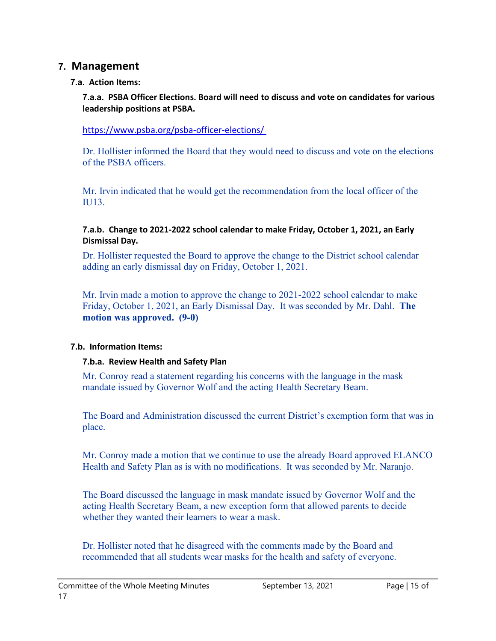# **7. Management**

## **7.a. Action Items:**

**7.a.a. PSBA Officer Elections. Board will need to discuss and vote on candidates for various leadership positions at PSBA.** 

<https://www.psba.org/psba-officer-elections/>

Dr. Hollister informed the Board that they would need to discuss and vote on the elections of the PSBA officers.

Mr. Irvin indicated that he would get the recommendation from the local officer of the IU13.

#### **7.a.b. Change to 2021-2022 school calendar to make Friday, October 1, 2021, an Early Dismissal Day.**

Dr. Hollister requested the Board to approve the change to the District school calendar adding an early dismissal day on Friday, October 1, 2021.

Mr. Irvin made a motion to approve the change to 2021-2022 school calendar to make Friday, October 1, 2021, an Early Dismissal Day. It was seconded by Mr. Dahl. **The motion was approved. (9-0)**

## **7.b. Information Items:**

## **7.b.a. Review Health and Safety Plan**

Mr. Conroy read a statement regarding his concerns with the language in the mask mandate issued by Governor Wolf and the acting Health Secretary Beam.

The Board and Administration discussed the current District's exemption form that was in place.

Mr. Conroy made a motion that we continue to use the already Board approved ELANCO Health and Safety Plan as is with no modifications. It was seconded by Mr. Naranjo.

The Board discussed the language in mask mandate issued by Governor Wolf and the acting Health Secretary Beam, a new exception form that allowed parents to decide whether they wanted their learners to wear a mask.

Dr. Hollister noted that he disagreed with the comments made by the Board and recommended that all students wear masks for the health and safety of everyone.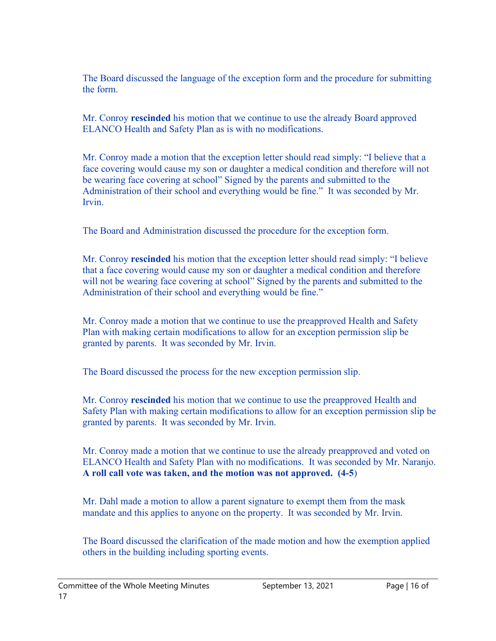The Board discussed the language of the exception form and the procedure for submitting the form.

Mr. Conroy **rescinded** his motion that we continue to use the already Board approved ELANCO Health and Safety Plan as is with no modifications.

Mr. Conroy made a motion that the exception letter should read simply: "I believe that a face covering would cause my son or daughter a medical condition and therefore will not be wearing face covering at school" Signed by the parents and submitted to the Administration of their school and everything would be fine." It was seconded by Mr. Irvin.

The Board and Administration discussed the procedure for the exception form.

Mr. Conroy **rescinded** his motion that the exception letter should read simply: "I believe that a face covering would cause my son or daughter a medical condition and therefore will not be wearing face covering at school" Signed by the parents and submitted to the Administration of their school and everything would be fine."

Mr. Conroy made a motion that we continue to use the preapproved Health and Safety Plan with making certain modifications to allow for an exception permission slip be granted by parents. It was seconded by Mr. Irvin.

The Board discussed the process for the new exception permission slip.

Mr. Conroy **rescinded** his motion that we continue to use the preapproved Health and Safety Plan with making certain modifications to allow for an exception permission slip be granted by parents. It was seconded by Mr. Irvin.

Mr. Conroy made a motion that we continue to use the already preapproved and voted on ELANCO Health and Safety Plan with no modifications. It was seconded by Mr. Naranjo. **A roll call vote was taken, and the motion was not approved. (4-5**)

Mr. Dahl made a motion to allow a parent signature to exempt them from the mask mandate and this applies to anyone on the property. It was seconded by Mr. Irvin.

The Board discussed the clarification of the made motion and how the exemption applied others in the building including sporting events.